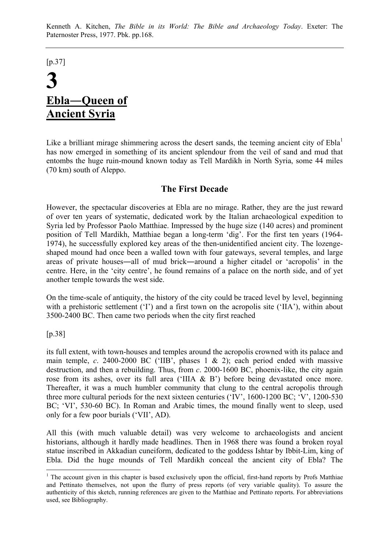[p.37]

# **3 Ebla―Queen of Ancient Syria**

Like a brilliant mirage shimmering across the desert sands, the teeming ancient city of Ebla<sup>1</sup> has now emerged in something of its ancient splendour from the veil of sand and mud that entombs the huge ruin-mound known today as Tell Mardikh in North Syria, some 44 miles (70 km) south of Aleppo.

# **The First Decade**

However, the spectacular discoveries at Ebla are no mirage. Rather, they are the just reward of over ten years of systematic, dedicated work by the Italian archaeological expedition to Syria led by Professor Paolo Matthiae. Impressed by the huge size (140 acres) and prominent position of Tell Mardikh, Matthiae began a long-term 'dig'. For the first ten years (1964- 1974), he successfully explored key areas of the then-unidentified ancient city. The lozengeshaped mound had once been a walled town with four gateways, several temples, and large areas of private houses―all of mud brick―around a higher citadel or 'acropolis' in the centre. Here, in the 'city centre', he found remains of a palace on the north side, and of yet another temple towards the west side.

On the time-scale of antiquity, the history of the city could be traced level by level, beginning with a prehistoric settlement ('I') and a first town on the acropolis site ('IIA'), within about 3500-2400 BC. Then came two periods when the city first reached

## [p.38]

 $\overline{a}$ 

its full extent, with town-houses and temples around the acropolis crowned with its palace and main temple, *c*. 2400-2000 BC ('IIB', phases 1 & 2); each period ended with massive destruction, and then a rebuilding. Thus, from *c*. 2000-1600 BC, phoenix-like, the city again rose from its ashes, over its full area ('IIIA & B') before being devastated once more. Thereafter, it was a much humbler community that clung to the central acropolis through three more cultural periods for the next sixteen centuries ('IV', 1600-1200 BC; 'V', 1200-530 BC; 'VI', 530-60 BC). In Roman and Arabic times, the mound finally went to sleep, used only for a few poor burials ('VII', AD).

All this (with much valuable detail) was very welcome to archaeologists and ancient historians, although it hardly made headlines. Then in 1968 there was found a broken royal statue inscribed in Akkadian cuneiform, dedicated to the goddess Ishtar by Ibbit-Lim, king of Ebla. Did the huge mounds of Tell Mardikh conceal the ancient city of Ebla? The

<sup>&</sup>lt;sup>1</sup> The account given in this chapter is based exclusively upon the official, first-hand reports by Profs Matthiae and Pettinato themselves, not upon the flurry of press reports (of very variable quality). To assure the authenticity of this sketch, running references are given to the Matthiae and Pettinato reports. For abbreviations used, see Bibliography.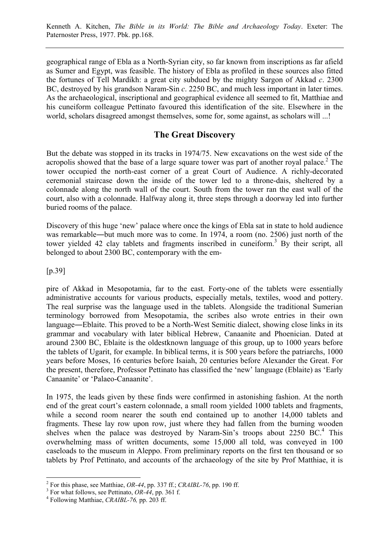geographical range of Ebla as a North-Syrian city, so far known from inscriptions as far afield as Sumer and Egypt, was feasible. The history of Ebla as profiled in these sources also fitted the fortunes of Tell Mardikh: a great city subdued by the mighty Sargon of Akkad *c*. 2300 BC, destroyed by his grandson Naram-Sin *c*. 2250 BC, and much less important in later times. As the archaeological, inscriptional and geographical evidence all seemed to fit, Matthiae and his cuneiform colleague Pettinato favoured this identification of the site. Elsewhere in the world, scholars disagreed amongst themselves, some for, some against, as scholars will ...!

# **The Great Discovery**

But the debate was stopped in its tracks in 1974/75. New excavations on the west side of the acropolis showed that the base of a large square tower was part of another royal palace.<sup>2</sup> The tower occupied the north-east corner of a great Court of Audience. A richly-decorated ceremonial staircase down the inside of the tower led to a throne-dais, sheltered by a colonnade along the north wall of the court. South from the tower ran the east wall of the court, also with a colonnade. Halfway along it, three steps through a doorway led into further buried rooms of the palace.

Discovery of this huge 'new' palace where once the kings of Ebla sat in state to hold audience was remarkable—but much more was to come. In 1974, a room (no. 2506) just north of the tower yielded 42 clay tablets and fragments inscribed in cuneiform.<sup>3</sup> By their script, all belonged to about 2300 BC, contemporary with the em-

[p.39]

pire of Akkad in Mesopotamia, far to the east. Forty-one of the tablets were essentially administrative accounts for various products, especially metals, textiles, wood and pottery. The real surprise was the language used in the tablets. Alongside the traditional Sumerian terminology borrowed from Mesopotamia, the scribes also wrote entries in their own language―Eblaite. This proved to be a North-West Semitic dialect, showing close links in its grammar and vocabulary with later biblical Hebrew, Canaanite and Phoenician. Dated at around 2300 BC, Eblaite is the oldestknown language of this group, up to 1000 years before the tablets of Ugarit, for example. In biblical terms, it is 500 years before the patriarchs, 1000 years before Moses, 16 centuries before Isaiah, 20 centuries before Alexander the Great. For the present, therefore, Professor Pettinato has classified the 'new' language (Eblaite) as 'Early Canaanite' or 'Palaeo-Canaanite'.

In 1975, the leads given by these finds were confirmed in astonishing fashion. At the north end of the great court's eastern colonnade, a small room yielded 1000 tablets and fragments, while a second room nearer the south end contained up to another 14,000 tablets and fragments. These lay row upon row, just where they had fallen from the burning wooden shelves when the palace was destroyed by Naram-Sin's troops about 2250 BC.<sup>4</sup> This overwhelming mass of written documents, some 15,000 all told, was conveyed in 100 caseloads to the museum in Aleppo. From preliminary reports on the first ten thousand or so tablets by Prof Pettinato, and accounts of the archaeology of the site by Prof Matthiae, it is

 $^{2}$  For this phase, see Matthiae, *OR-44*, pp. 337 ff.; *CRAIBL-76*, pp. 190 ff.  $^{3}$  Eq. what follows, see Dettinate, *OB 44*, pp. 361 f.

 $\frac{3}{7}$  For what follows, see Pettinato, *OR-44*, pp. 361 f.

Following Matthiae, *CRAIBL-76,* pp. 203 ff.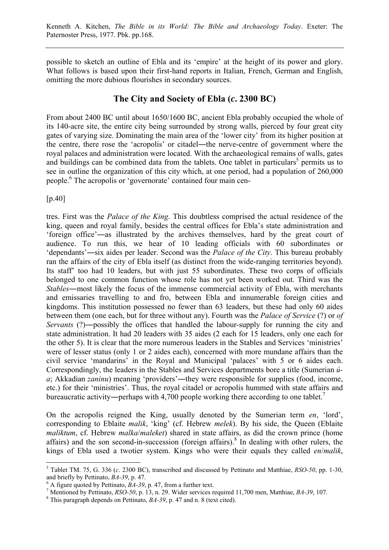possible to sketch an outline of Ebla and its 'empire' at the height of its power and glory. What follows is based upon their first-hand reports in Italian, French, German and English, omitting the more dubious flourishes in secondary sources.

## **The City and Society of Ebla (***c***. 2300 BC)**

From about 2400 BC until about 1650/1600 BC, ancient Ebla probably occupied the whole of its 140-acre site, the entire city being surrounded by strong walls, pierced by four great city gates of varying size. Dominating the main area of the 'lower city' from its higher position at the centre, there rose the 'acropolis' or citadel―the nerve-centre of government where the royal palaces and administration were located. With the archaeological remains of walls, gates and buildings can be combined data from the tablets. One tablet in particulars<sup>5</sup> permits us to see in outline the organization of this city which, at one period, had a population of 260,000 people.<sup>6</sup> The acropolis or 'governorate' contained four main cen-

[p.40]

 $\overline{a}$ 

tres. First was the *Palace of the King*. This doubtless comprised the actual residence of the king, queen and royal family, besides the central offices for Ebla's state administration and 'foreign office'―as illustrated by the archives themselves, hard by the great court of audience. To run this, we hear of 10 leading officials with 60 subordinates or 'dependants'―six aides per leader. Second was the *Palace of the City*. This bureau probably ran the affairs of the city of Ebla itself (as distinct from the wide-ranging territories beyond). Its staff' too had 10 leaders, but with just 55 subordinates. These two corps of officials belonged to one common function whose role has not yet been worked out. Third was the *Stables*―most likely the focus of the immense commercial activity of Ebla, with merchants and emissaries travelling to and fro, between Ebla and innumerable foreign cities and kingdoms. This institution possessed no fewer than 63 leaders, but these had only 60 aides between them (one each, but for three without any). Fourth was the *Palace of Service* (?) or *of Servants* (?)—possibly the offices that handled the labour-supply for running the city and state administration. It had 20 leaders with 35 aides (2 each for 15 leaders, only one each for the other 5). It is clear that the more numerous leaders in the Stables and Services 'ministries' were of lesser status (only 1 or 2 aides each), concerned with more mundane affairs than the civil service 'mandarins' in the Royal and Municipal 'palaces' with 5 or 6 aides each. Correspondingly, the leaders in the Stables and Services departments bore a title (Sumerian *úa*; Akkadian *zaninu*) meaning 'providers'―they were responsible for supplies (food, income, etc.) for their 'ministries'. Thus, the royal citadel or acropolis hummed with state affairs and bureaucratic activity—perhaps with 4,700 people working there according to one tablet.<sup>7</sup>

On the acropolis reigned the King, usually denoted by the Sumerian term *en*, 'lord', corresponding to Eblaite *malik*, 'king' (cf. Hebrew *melek*). By his side, the Queen (Eblaite *maliktum*, cf. Hebrew *malka*/*maleket*) shared in state affairs, as did the crown prince (home affairs) and the son second-in-succession (foreign affairs).<sup>8</sup> In dealing with other rulers, the kings of Ebla used a twotier system. Kings who were their equals they called *en*/*malik*,

<sup>5</sup> Tablet TM. 75, G. 336 (*c*. 2300 BC), transcribed and discussed by Pettinato and Matthiae, *RSO-50*, pp. 1-30, and briefly by Pettinato, *BA-39*, p. 47.

 $6$  A figure quoted by Pettinato,  $BA-39$ , p. 47, from a further text.

<sup>&</sup>lt;sup>7</sup> Mentioned by Pettinato, *RSO-50*, p. 13, n. 29. Wider services required 11,700 men, Matthiae, *BA-39*, 107.

This paragraph depends on Pettinato, *BA-39*, p. 47 and n. 8 (text cited).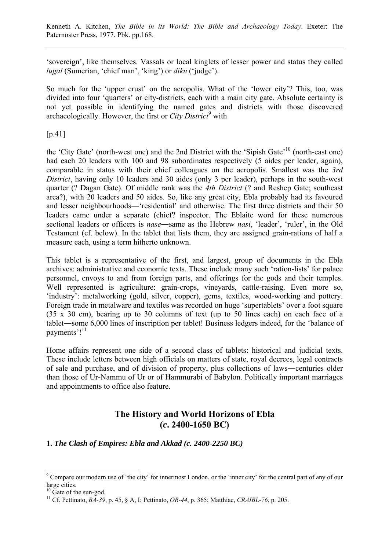'sovereign', like themselves. Vassals or local kinglets of lesser power and status they called *lugal* (Sumerian, 'chief man', 'king') or *diku* ('judge').

So much for the 'upper crust' on the acropolis. What of the 'lower city'? This, too, was divided into four 'quarters' or city-districts, each with a main city gate. Absolute certainty is not yet possible in identifying the named gates and districts with those discovered archaeologically. However, the first or *City District*<sup>9</sup> with

[p.41]

the 'City Gate' (north-west one) and the 2nd District with the 'Sipish Gate'10 (north-east one) had each 20 leaders with 100 and 98 subordinates respectively (5 aides per leader, again), comparable in status with their chief colleagues on the acropolis. Smallest was the *3rd District*, having only 10 leaders and 30 aides (only 3 per leader), perhaps in the south-west quarter (? Dagan Gate). Of middle rank was the *4th District* (? and Reshep Gate; southeast area?), with 20 leaders and 50 aides. So, like any great city, Ebla probably had its favoured and lesser neighbourhoods―'residential' and otherwise. The first three districts and their 50 leaders came under a separate (chief? inspector. The Eblaite word for these numerous sectional leaders or officers is *nase*―same as the Hebrew *nasi*, 'leader', 'ruler', in the Old Testament (cf. below). In the tablet that lists them, they are assigned grain-rations of half a measure each, using a term hitherto unknown.

This tablet is a representative of the first, and largest, group of documents in the Ebla archives: administrative and economic texts. These include many such 'ration-lists' for palace personnel, envoys to and from foreign parts, and offerings for the gods and their temples. Well represented is agriculture: grain-crops, vineyards, cattle-raising. Even more so, 'industry': metalworking (gold, silver, copper), gems, textiles, wood-working and pottery. Foreign trade in metalware and textiles was recorded on huge 'supertablets' over a foot square (35 x 30 cm), bearing up to 30 columns of text (up to 50 lines each) on each face of a tablet―some 6,000 lines of inscription per tablet! Business ledgers indeed, for the 'balance of payments'!<sup>11</sup>

Home affairs represent one side of a second class of tablets: historical and judicial texts. These include letters between high officials on matters of state, royal decrees, legal contracts of sale and purchase, and of division of property, plus collections of laws―centuries older than those of Ur-Nammu of Ur or of Hammurabi of Babylon. Politically important marriages and appointments to office also feature.

# **The History and World Horizons of Ebla (***c***. 2400-1650 BC)**

## **1.** *The Clash of Empires: Ebla and Akkad (c. 2400-2250 BC)*

<sup>&</sup>lt;sup>9</sup> Compare our modern use of 'the city' for innermost London, or the 'inner city' for the central part of any of our large cities.

 $10$  Gate of the sun-god.

<sup>11</sup> Cf. Pettinato, *BA-39*, p. 45, § A, I; Pettinato, *OR-44*, p. 365; Matthiae, *CRAIBL-76*, p. 205.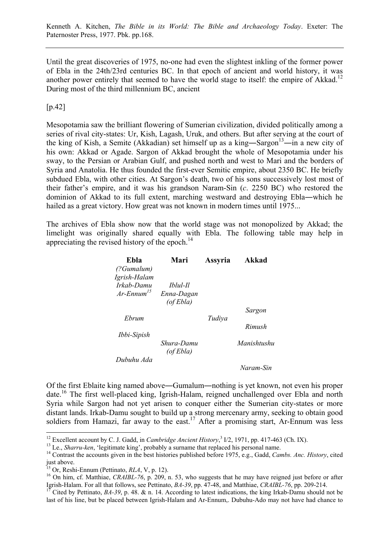Until the great discoveries of 1975, no-one had even the slightest inkling of the former power of Ebla in the 24th/23rd centuries BC. In that epoch of ancient and world history, it was another power entirely that seemed to have the world stage to itself: the empire of Akkad.<sup>12</sup> During most of the third millennium BC, ancient

[p.42]

Mesopotamia saw the brilliant flowering of Sumerian civilization, divided politically among a series of rival city-states: Ur, Kish, Lagash, Uruk, and others. But after serving at the court of the king of Kish, a Semite (Akkadian) set himself up as a king—Sargon<sup>13</sup>—in a new city of his own: Akkad or Agade. Sargon of Akkad brought the whole of Mesopotamia under his sway, to the Persian or Arabian Gulf, and pushed north and west to Mari and the borders of Syria and Anatolia. He thus founded the first-ever Semitic empire, about 2350 BC. He briefly subdued Ebla, with other cities. At Sargon's death, two of his sons successively lost most of their father's empire, and it was his grandson Naram-Sin (*c*. 2250 BC) who restored the dominion of Akkad to its full extent, marching westward and destroying Ebla―which he hailed as a great victory. How great was not known in modern times until 1975...

The archives of Ebla show now that the world stage was not monopolized by Akkad; the limelight was originally shared equally with Ebla. The following table may help in appreciating the revised history of the epoch.<sup>14</sup>

| Ebla                      | Mari            | Assyria | Akkad       |
|---------------------------|-----------------|---------|-------------|
| (?Gumalum)                |                 |         |             |
| Igrish-Halam              |                 |         |             |
| Irkab-Damu                | <i>Iblul-Il</i> |         |             |
| $Ar$ -Ennum <sup>15</sup> | Enna-Dagan      |         |             |
|                           | (of Ebla)       |         |             |
|                           |                 |         | Sargon      |
| Ehrum                     |                 | Tudiya  |             |
|                           |                 |         | Rimush      |
| Ibbi-Sipish               |                 |         |             |
|                           | Shura-Damu      |         | Manishtushu |
| Dubuhu Ada                | (of Ebla)       |         |             |
|                           |                 |         | Naram-Sin   |
|                           |                 |         |             |

Of the first Eblaite king named above―Gumalum―nothing is yet known, not even his proper date.16 The first well-placed king, Igrish-Halam, reigned unchallenged over Ebla and north Syria while Sargon had not yet arisen to conquer either the Sumerian city-states or more distant lands. Irkab-Damu sought to build up a strong mercenary army, seeking to obtain good soldiers from Hamazi, far away to the east.<sup>17</sup> After a promising start, Ar-Ennum was less

<sup>&</sup>lt;sup>12</sup> Excellent account by C. J. Gadd, in *Cambridge Ancient History*,<sup>3</sup>

<sup>&</sup>lt;sup>13</sup> Le., *Sharru-ken*, 'legitimate king', probably a surname that replaced his personal name.<br><sup>14</sup> Contrast the accounts given in the best histories published before 1975, e.g., Gadd, *Cambs. Anc. History*, cited just above.<br>
<sup>15</sup> Or, Reshi-Ennum (Pettinato, *RLA*, V, p. 12).

<sup>&</sup>lt;sup>16</sup> On him, cf. Matthiae, *CRAIBL-76*, p. 209, n. 53, who suggests that he may have reigned just before or after Igrish-Halam. For all that follows, see Pettinato,  $BA-39$ , pp. 47-48, and Matthiae,  $CRAIBL-76$ , pp. 209-214.<br><sup>17</sup> Cited by Pettinato,  $BA-39$ , p. 48. & n. 14. According to latest indications, the king Irkab-Damu should not

last of his line, but be placed between Igrish-Halam and Ar-Ennum,. Dubuhu-Ado may not have had chance to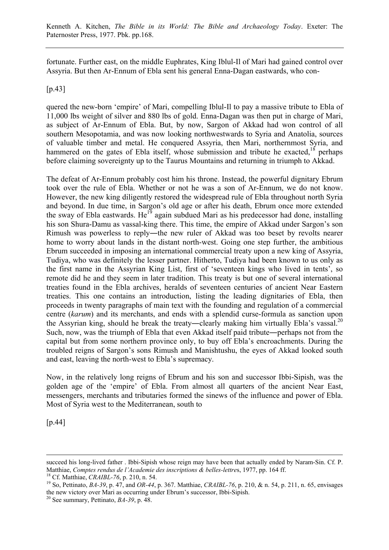fortunate. Further east, on the middle Euphrates, King Iblul-Il of Mari had gained control over Assyria. But then Ar-Ennum of Ebla sent his general Enna-Dagan eastwards, who con-

#### [p.43]

quered the new-born 'empire' of Mari, compelling Iblul-Il to pay a massive tribute to Ebla of 11,000 lbs weight of silver and 880 lbs of gold. Enna-Dagan was then put in charge of Mari, as subject of Ar-Ennum of Ebla. But, by now, Sargon of Akkad had won control of all southern Mesopotamia, and was now looking northwestwards to Syria and Anatolia, sources of valuable timber and metal. He conquered Assyria, then Mari, northernmost Syria, and hammered on the gates of Ebla itself, whose submission and tribute he exacted,  $18$  perhaps before claiming sovereignty up to the Taurus Mountains and returning in triumph to Akkad.

The defeat of Ar-Ennum probably cost him his throne. Instead, the powerful dignitary Ebrum took over the rule of Ebla. Whether or not he was a son of Ar-Ennum, we do not know. However, the new king diligently restored the widespread rule of Ebla throughout north Syria and beyond. In due time, in Sargon's old age or after his death, Ebrum once more extended the sway of Ebla eastwards.  $He^{19}$  again subdued Mari as his predecessor had done, installing his son Shura-Damu as vassal-king there. This time, the empire of Akkad under Sargon's son Rimush was powerless to reply―the new ruler of Akkad was too beset by revolts nearer home to worry about lands in the distant north-west. Going one step further, the ambitious Ebrum succeeded in imposing an international commercial treaty upon a new king of Assyria, Tudiya, who was definitely the lesser partner. Hitherto, Tudiya had been known to us only as the first name in the Assyrian King List, first of 'seventeen kings who lived in tents', so remote did he and they seem in later tradition. This treaty is but one of several international treaties found in the Ebla archives, heralds of seventeen centuries of ancient Near Eastern treaties. This one contains an introduction, listing the leading dignitaries of Ebla, then proceeds in twenty paragraphs of main text with the founding and regulation of a commercial centre (*karum*) and its merchants, and ends with a splendid curse-formula as sanction upon the Assyrian king, should he break the treaty—clearly making him virtually Ebla's vassal.<sup>20</sup> Such, now, was the triumph of Ebla that even Akkad itself paid tribute―perhaps not from the capital but from some northern province only, to buy off Ebla's encroachments. During the troubled reigns of Sargon's sons Rimush and Manishtushu, the eyes of Akkad looked south and east, leaving the north-west to Ebla's supremacy.

Now, in the relatively long reigns of Ebrum and his son and successor Ibbi-Sipish, was the golden age of the 'empire' of Ebla. From almost all quarters of the ancient Near East, messengers, merchants and tributaries formed the sinews of the influence and power of Ebla. Most of Syria west to the Mediterranean, south to

[p.44]

succeed his long-lived father . Ibbi-Sipish whose reign may have been that actually ended by Naram-Sin. Cf. P. Matthiae, Comptes rendus de l'Academie des inscriptions & belles-lettres, 1977, pp. 164 ff.<br><sup>18</sup> Cf. Matthiae, *CRAIBL*-76, p. 210, n. 54.<br><sup>19</sup> So, Pettinato, *BA*-39, p. 47, and *OR-44*, p. 367. Matthiae, *CRAIBL-76*, p.

the new victory over Mari as occurring under Ebrum's successor, Ibbi-Sipish.

<sup>20</sup> See summary, Pettinato, *BA-39*, p. 48.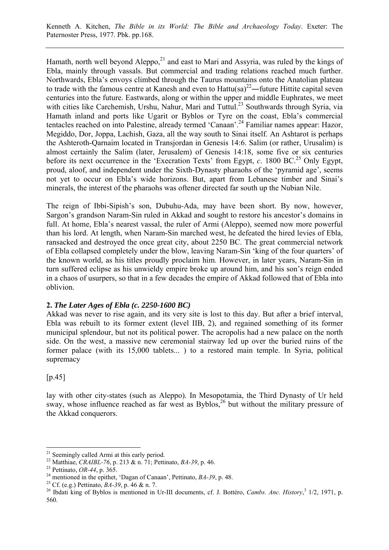Hamath, north well beyond Aleppo, $^{21}$  and east to Mari and Assyria, was ruled by the kings of Ebla, mainly through vassals. But commercial and trading relations reached much further. Northwards, Ebla's envoys climbed through the Taurus mountains onto the Anatolian plateau to trade with the famous centre at Kanesh and even to  $Hattu(sa)^{22}$ —future Hittite capital seven centuries into the future. Eastwards, along or within the upper and middle Euphrates, we meet with cities like Carchemish, Urshu, Nahur, Mari and Tuttul.<sup>23</sup> Southwards through Syria, via Hamath inland and ports like Ugarit or Byblos or Tyre on the coast, Ebla's commercial tentacles reached on into Palestine, already termed 'Canaan'.24 Familiar names appear: Hazor, Megiddo, Dor, Joppa, Lachish, Gaza, all the way south to Sinai itself. An Ashtarot is perhaps the Ashteroth-Qarnaim located in Transjordan in Genesis 14:6. Salim (or rather, Urusalim) is almost certainly the Salim (later, Jerusalem) of Genesis 14:18, some five or six centuries before its next occurrence in the 'Execration Texts' from Egypt,  $c$ . 1800 BC.<sup>25</sup> Only Egypt, proud, aloof, and independent under the Sixth-Dynasty pharaohs of the 'pyramid age', seems not yet to occur on Ebla's wide horizons. But, apart from Lebanese timber and Sinai's minerals, the interest of the pharaohs was oftener directed far south up the Nubian Nile.

The reign of Ibbi-Sipish's son, Dubuhu-Ada, may have been short. By now, however, Sargon's grandson Naram-Sin ruled in Akkad and sought to restore his ancestor's domains in full. At home, Ebla's nearest vassal, the ruler of Armi (Aleppo), seemed now more powerful than his lord. At length, when Naram-Sin marched west, he defeated the hired levies of Ebla, ransacked and destroyed the once great city, about 2250 BC. The great commercial network of Ebla collapsed completely under the blow, leaving Naram-Sin 'king of the four quarters' of the known world, as his titles proudly proclaim him. However, in later years, Naram-Sin in turn suffered eclipse as his unwieldy empire broke up around him, and his son's reign ended in a chaos of usurpers, so that in a few decades the empire of Akkad followed that of Ebla into oblivion.

## **2.** *The Later Ages of Ebla (c. 2250-1600 BC)*

Akkad was never to rise again, and its very site is lost to this day. But after a brief interval, Ebla was rebuilt to its former extent (level IIB, 2), and regained something of its former municipal splendour, but not its political power. The acropolis had a new palace on the north side. On the west, a massive new ceremonial stairway led up over the buried ruins of the former palace (with its 15,000 tablets... ) to a restored main temple. In Syria, political supremacy

 $[p.45]$ 

 $\overline{a}$ 

lay with other city-states (such as Aleppo). In Mesopotamia, the Third Dynasty of Ur held sway, whose influence reached as far west as Byblos,<sup>26</sup> but without the military pressure of the Akkad conquerors.

<sup>&</sup>lt;sup>21</sup> Seemingly called Armi at this early period.

<sup>&</sup>lt;sup>22</sup> Matthiae, *CRAIBL*-76, p. 213 & n. 71; Pettinato, *BA*-39, p. 46.<br><sup>23</sup> Pettinato, *OR*-44, p. 365.<br><sup>24</sup> mentioned in the epithet, 'Dagan of Canaan', Pettinato, *BA*-39, p. 48.<br><sup>25</sup> Cf. (e.g.) Pettinato, *BA*-39, p. 4 560.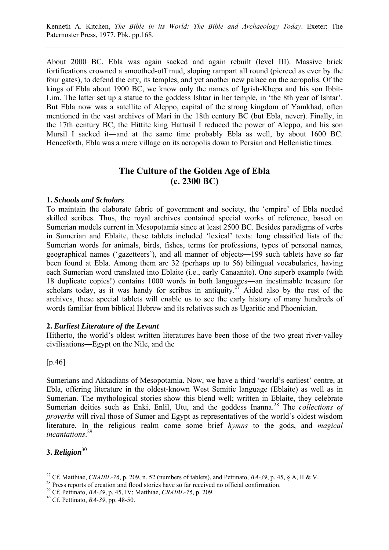About 2000 BC, Ebla was again sacked and again rebuilt (level III). Massive brick fortifications crowned a smoothed-off mud, sloping rampart all round (pierced as ever by the four gates), to defend the city, its temples, and yet another new palace on the acropolis. Of the kings of Ebla about 1900 BC, we know only the names of Igrish-Khepa and his son Ibbit-Lim. The latter set up a statue to the goddess Ishtar in her temple, in 'the 8th year of Ishtar'. But Ebla now was a satellite of Aleppo, capital of the strong kingdom of Yamkhad, often mentioned in the vast archives of Mari in the 18th century BC (but Ebla, never). Finally, in the 17th century BC, the Hittite king Hattusil I reduced the power of Aleppo, and his son Mursil I sacked it—and at the same time probably Ebla as well, by about 1600 BC. Henceforth, Ebla was a mere village on its acropolis down to Persian and Hellenistic times.

## **The Culture of the Golden Age of Ebla (c. 2300 BC)**

#### **1.** *Schools and Scholars*

To maintain the elaborate fabric of government and society, the 'empire' of Ebla needed skilled scribes. Thus, the royal archives contained special works of reference, based on Sumerian models current in Mesopotamia since at least 2500 BC. Besides paradigms of verbs in Sumerian and Eblaite, these tablets included 'lexical' texts: long classified lists of the Sumerian words for animals, birds, fishes, terms for professions, types of personal names, geographical names ('gazetteers'), and all manner of objects―199 such tablets have so far been found at Ebla. Among them are 32 (perhaps up to 56) bilingual vocabularies, having each Sumerian word translated into Eblaite (i.e., early Canaanite). One superb example (with 18 duplicate copies!) contains 1000 words in both languages―an inestimable treasure for scholars today, as it was handy for scribes in antiquity.<sup>27</sup> Aided also by the rest of the archives, these special tablets will enable us to see the early history of many hundreds of words familiar from biblical Hebrew and its relatives such as Ugaritic and Phoenician.

#### **2.** *Earliest Literature of the Levant*

Hitherto, the world's oldest written literatures have been those of the two great river-valley civilisations―Egypt on the Nile, and the

## [p.46]

Sumerians and Akkadians of Mesopotamia. Now, we have a third 'world's earliest' centre, at Ebla, offering literature in the oldest-known West Semitic language (Eblaite) as well as in Sumerian. The mythological stories show this blend well; written in Eblaite, they celebrate Sumerian deities such as Enki, Enlil, Utu, and the goddess Inanna.<sup>28</sup> The *collections of proverbs* will rival those of Sumer and Egypt as representatives of the world's oldest wisdom literature. In the religious realm come some brief *hymns* to the gods, and *magical incantations*. 29

## $3.$  *Religion*<sup>30</sup>

 $\overline{a}$ <sup>27</sup> Cf. Matthiae, *CRAIBL*-76, p. 209, n. 52 (numbers of tablets), and Pettinato, *BA*-39, p. 45, § A, II & V.<br><sup>28</sup> Press reports of creation and flood stories have so far received no official confirmation.<br><sup>29</sup> Cf. Pett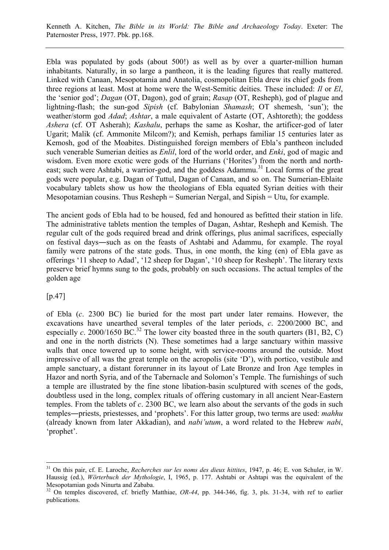Ebla was populated by gods (about 500!) as well as by over a quarter-million human inhabitants. Naturally, in so large a pantheon, it is the leading figures that really mattered. Linked with Canaan, Mesopotamia and Anatolia, cosmopolitan Ebla drew its chief gods from three regions at least. Most at home were the West-Semitic deities. These included: *Il* or *El*, the 'senior god'; *Dagan* (OT, Dagon), god of grain; *Rasap* (OT, Resheph), god of plague and lightning-flash; the sun-god *Sipish* (cf. Babylonian *Shamash*; OT shemesh, 'sun'); the weather/storm god *Adad*; *Ashtar*, a male equivalent of Astarte (OT, Ashtoreth); the goddess *Ashera* (cf. OT Asherah); *Kashalu*, perhaps the same as Koshar, the artificer-god of later Ugarit; Malik (cf. Ammonite Milcom?); and Kemish, perhaps familiar 15 centuries later as Kemosh, god of the Moabites. Distinguished foreign members of Ebla's pantheon included such venerable Sumerian deities as *Enlil*, lord of the world order, and *Enki*, god of magic and wisdom. Even more exotic were gods of the Hurrians ('Horites') from the north and northeast; such were Ashtabi, a warrior-god, and the goddess Adammu.<sup>31</sup> Local forms of the great gods were popular, e.g. Dagan of Tuttul, Dagan of Canaan, and so on. The Sumerian-Eblaite vocabulary tablets show us how the theologians of Ebla equated Syrian deities with their Mesopotamian cousins. Thus Resheph  $=$  Sumerian Nergal, and Sipish  $=$  Utu, for example.

The ancient gods of Ebla had to be housed, fed and honoured as befitted their station in life. The administrative tablets mention the temples of Dagan, Ashtar, Resheph and Kemish. The regular cult of the gods required bread and drink offerings, plus animal sacrifices, especially on festival days―such as on the feasts of Ashtabi and Adammu, for example. The royal family were patrons of the state gods. Thus, in one month, the king (en) of Ebla gave as offerings '11 sheep to Adad', '12 sheep for Dagan', '10 sheep for Resheph'. The literary texts preserve brief hymns sung to the gods, probably on such occasions. The actual temples of the golden age

[p.47]

 $\overline{a}$ 

of Ebla (*c*. 2300 BC) lie buried for the most part under later remains. However, the excavations have unearthed several temples of the later periods, *c*. 2200/2000 BC, and especially *c*. 2000/1650 BC.<sup>32</sup> The lower city boasted three in the south quarters (B1, B2, C) and one in the north districts (N). These sometimes had a large sanctuary within massive walls that once towered up to some height, with service-rooms around the outside. Most impressive of all was the great temple on the acropolis (site 'D'), with portico, vestibule and ample sanctuary, a distant forerunner in its layout of Late Bronze and Iron Age temples in Hazor and north Syria, and of the Tabernacle and Solomon's Temple. The furnishings of such a temple are illustrated by the fine stone libation-basin sculptured with scenes of the gods, doubtless used in the long, complex rituals of offering customary in all ancient Near-Eastern temples. From the tablets of *c*. 2300 BC, we learn also about the servants of the gods in such temples―priests, priestesses, and 'prophets'. For this latter group, two terms are used: *mahhu* (already known from later Akkadian), and *nabi'utum*, a word related to the Hebrew *nabi*, 'prophet'.

<sup>31</sup> On this pair, cf. E. Laroche, *Recherches sur les noms des dieux hittites*, 1947, p. 46; E. von Schuler, in W. Haussig (ed.), *Wörterbuch der Mythologie*, I, 1965, p. 177. Ashtabi or Ashtapi was the equivalent of the Mesopotamian gods Ninurta and Zababa.

<sup>&</sup>lt;sup>32</sup> On temples discovered, cf. briefly Matthiae, *OR-44*, pp. 344-346, fig. 3, pls. 31-34, with ref to earlier publications.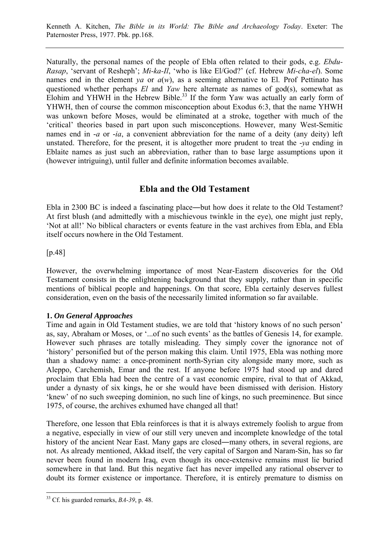Naturally, the personal names of the people of Ebla often related to their gods, e.g. *Ebdu-Rasap*, 'servant of Resheph'; *Mi-ka-Il*, 'who is like El/God?' (cf. Hebrew *Mi-cha-el*). Some names end in the element *ya* or  $a(w)$ , as a seeming alternative to El. Prof Pettinato has questioned whether perhaps *El* and *Yaw* here alternate as names of god(s), somewhat as Elohim and YHWH in the Hebrew Bible.<sup>33</sup> If the form Yaw was actually an early form of YHWH, then of course the common misconception about Exodus 6:3, that the name YHWH was unkown before Moses, would be eliminated at a stroke, together with much of the 'critical' theories based in part upon such misconceptions. However, many West-Semitic names end in -*a* or -*ia*, a convenient abbreviation for the name of a deity (any deity) left unstated. Therefore, for the present, it is altogether more prudent to treat the -*ya* ending in Eblaite names as just such an abbreviation, rather than to base large assumptions upon it (however intriguing), until fuller and definite information becomes available.

# **Ebla and the Old Testament**

Ebla in 2300 BC is indeed a fascinating place―but how does it relate to the Old Testament? At first blush (and admittedly with a mischievous twinkle in the eye), one might just reply, 'Not at all!' No biblical characters or events feature in the vast archives from Ebla, and Ebla itself occurs nowhere in the Old Testament.

[p.48]

However, the overwhelming importance of most Near-Eastern discoveries for the Old Testament consists in the enlightening background that they supply, rather than in specific mentions of biblical people and happenings. On that score, Ebla certainly deserves fullest consideration, even on the basis of the necessarily limited information so far available.

## **1.** *On General Approaches*

Time and again in Old Testament studies, we are told that 'history knows of no such person' as, say, Abraham or Moses, or '...of no such events' as the battles of Genesis 14, for example. However such phrases are totally misleading. They simply cover the ignorance not of 'history' personified but of the person making this claim. Until 1975, Ebla was nothing more than a shadowy name: a once-prominent north-Syrian city alongside many more, such as Aleppo, Carchemish, Emar and the rest. If anyone before 1975 had stood up and dared proclaim that Ebla had been the centre of a vast economic empire, rival to that of Akkad, under a dynasty of six kings, he or she would have been dismissed with derision. History 'knew' of no such sweeping dominion, no such line of kings, no such preeminence. But since 1975, of course, the archives exhumed have changed all that!

Therefore, one lesson that Ebla reinforces is that it is always extremely foolish to argue from a negative, especially in view of our still very uneven and incomplete knowledge of the total history of the ancient Near East. Many gaps are closed—many others, in several regions, are not. As already mentioned, Akkad itself, the very capital of Sargon and Naram-Sin, has so far never been found in modern Iraq, even though its once-extensive remains must lie buried somewhere in that land. But this negative fact has never impelled any rational observer to doubt its former existence or importance. Therefore, it is entirely premature to dismiss on

 $\overline{a}$ 33 Cf. his guarded remarks, *BA-39*, p. 48.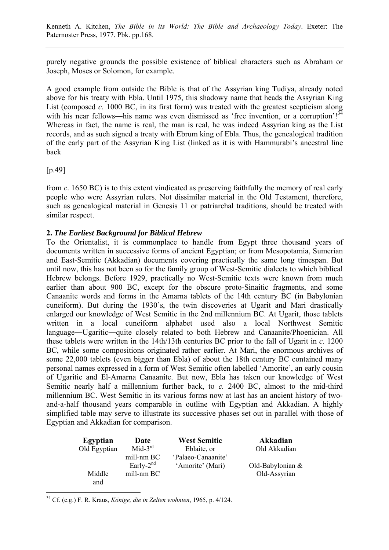purely negative grounds the possible existence of biblical characters such as Abraham or Joseph, Moses or Solomon, for example.

A good example from outside the Bible is that of the Assyrian king Tudiya, already noted above for his treaty with Ebla. Until 1975, this shadowy name that heads the Assyrian King List (composed *c*. 1000 BC, in its first form) was treated with the greatest scepticism along with his near fellows—his name was even dismissed as 'free invention, or a corruption'!<sup>34</sup> Whereas in fact, the name is real, the man is real, he was indeed Assyrian king as the List records, and as such signed a treaty with Ebrum king of Ebla. Thus, the genealogical tradition of the early part of the Assyrian King List (linked as it is with Hammurabi's ancestral line back

[p.49]

 $\overline{a}$ 

from *c*. 1650 BC) is to this extent vindicated as preserving faithfully the memory of real early people who were Assyrian rulers. Not dissimilar material in the Old Testament, therefore, such as genealogical material in Genesis 11 or patriarchal traditions, should be treated with similar respect.

#### **2.** *The Earliest Background for Biblical Hebrew*

To the Orientalist, it is commonplace to handle from Egypt three thousand years of documents written in successive forms of ancient Egyptian; or from Mesopotamia, Sumerian and East-Semitic (Akkadian) documents covering practically the same long timespan. But until now, this has not been so for the family group of West-Semitic dialects to which biblical Hebrew belongs. Before 1929, practically no West-Semitic texts were known from much earlier than about 900 BC, except for the obscure proto-Sinaitic fragments, and some Canaanite words and forms in the Amarna tablets of the 14th century BC (in Babylonian cuneiform). But during the 1930's, the twin discoveries at Ugarit and Mari drastically enlarged our knowledge of West Semitic in the 2nd millennium BC. At Ugarit, those tablets written in a local cuneiform alphabet used also a local Northwest Semitic language―Ugaritic―quite closely related to both Hebrew and Canaanite/Phoenician. All these tablets were written in the 14th/13th centuries BC prior to the fall of Ugarit in *c*. 1200 BC, while some compositions originated rather earlier. At Mari, the enormous archives of some 22,000 tablets (even bigger than Ebla) of about the 18th century BC contained many personal names expressed in a form of West Semitic often labelled 'Amorite', an early cousin of Ugaritic and El-Amarna Canaanite. But now, Ebla has taken our knowledge of West Semitic nearly half a millennium further back, to *c.* 2400 BC, almost to the mid-third millennium BC. West Semitic in its various forms now at last has an ancient history of twoand-a-half thousand years comparable in outline with Egyptian and Akkadian. A highly simplified table may serve to illustrate its successive phases set out in parallel with those of Egyptian and Akkadian for comparison.

| Egyptian     | Date         | <b>West Semitic</b> | Akkadian           |
|--------------|--------------|---------------------|--------------------|
| Old Egyptian | $Mid-3^{rd}$ | Eblaite, or         | Old Akkadian       |
|              | mill-nm BC   | 'Palaeo-Canaanite'  |                    |
|              | Early- $2nd$ | 'Amorite' (Mari)    | Old-Babylonian $&$ |
| Middle       | mill-nm BC   |                     | Old-Assyrian       |
| and          |              |                     |                    |

34 Cf. (e.g.) F. R. Kraus, *Könige, die in Zelten wohnten*, 1965, p. 4/124.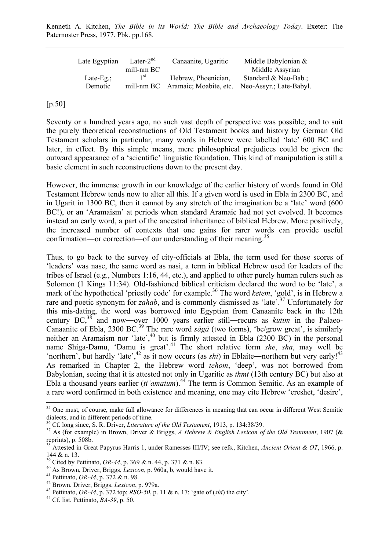| Late Egyptian | Later- $2nd$<br>$mill-nm BC$ | Canaanite, Ugaritic    | Middle Babylonian &<br>Middle Assyrian |
|---------------|------------------------------|------------------------|----------------------------------------|
| Late-Eg.;     | $1^{\rm st}$                 | Hebrew, Phoenician,    | Standard & Neo-Bab.;                   |
| Demotic       | mill-nm BC                   | Aramaic; Moabite, etc. | Neo-Assyr.; Late-Babyl.                |

[p.50]

Seventy or a hundred years ago, no such vast depth of perspective was possible; and to suit the purely theoretical reconstructions of Old Testament books and history by German Old Testament scholars in particular, many words in Hebrew were labelled 'late' 600 BC and later, in effect. By this simple means, mere philosophical prejudices could be given the outward appearance of a 'scientific' linguistic foundation. This kind of manipulation is still a basic element in such reconstructions down to the present day.

However, the immense growth in our knowledge of the earlier history of words found in Old Testament Hebrew tends now to alter all this. If a given word is used in Ebla in 2300 BC, and in Ugarit in 1300 BC, then it cannot by any stretch of the imagination be a 'late' word (600 BC!), or an 'Aramaism' at periods when standard Aramaic had not yet evolved. It becomes instead an early word, a part of the ancestral inheritance of biblical Hebrew. More positively, the increased number of contexts that one gains for rarer words can provide useful confirmation—or correction—of our understanding of their meaning.<sup>35</sup>

Thus, to go back to the survey of city-officials at Ebla, the term used for those scores of 'leaders' was nase, the same word as nasi, a term in biblical Hebrew used for leaders of the tribes of Israel (e.g., Numbers 1:16, 44, etc.), and applied to other purely human rulers such as Solomon (1 Kings 11:34). Old-fashioned biblical criticism declared the word to be 'late', a mark of the hypothetical 'priestly code' for example.<sup>36</sup> The word *ketem*, 'gold', is in Hebrew a rare and poetic synonym for *zahab*, and is commonly dismissed as 'late'.<sup>37</sup> Unfortunately for this mis-dating, the word was borrowed into Egyptian from Canaanite back in the 12th century BC,38 and now―over 1000 years earlier still―recurs as *kutim* in the Palaeo-Canaanite of Ebla, 2300 BC.39 The rare word *sāgā* (two forms), 'be/grow great', is similarly neither an Aramaism nor 'late',<sup>40</sup> but is firmly attested in Ebla (2300 BC) in the personal name Shiga-Damu, 'Damu is great'.41 The short relative form *she*, *sha*, may well be 'northern', but hardly 'late', $42$  as it now occurs (as *shi*) in Eblaite—northern but very early! $43$ As remarked in Chapter 2, the Hebrew word *tehom*, 'deep', was not borrowed from Babylonian, seeing that it is attested not only in Ugaritic as *thmt* (13th century BC) but also at Ebla a thousand years earlier (*ti'amatum*).44 The term is Common Semitic. As an example of a rare word confirmed in both existence and meaning, one may cite Hebrew 'ereshet, 'desire',

<sup>&</sup>lt;sup>35</sup> One must, of course, make full allowance for differences in meaning that can occur in different West Semitic dialects, and in different periods of time.<br><sup>36</sup> Cf. long since, S. R. Driver, *Literature of the Old Testament*, 1913, p. 134:38/39.

<sup>&</sup>lt;sup>37</sup> As (for example) in Brown, Driver & Briggs, *A Hebrew & English Lexicon of the Old Testament*, 1907 (& reprints), p. 508b.

<sup>38</sup> Attested in Great Papyrus Harris 1, under Ramesses III/IV; see refs., Kitchen, *Ancient Orient & OT*, 1966, p. 144 & n. 13.

<sup>&</sup>lt;sup>39</sup> Cited by Pettinato, *OR-44*, p. 369 & n. 44, p. 371 & n. 83.<br><sup>40</sup> As Brown, Driver, Briggs, *Lexicon*, p. 960a, b, would have it.<br><sup>41</sup> Pettinato, *OR-44*, p. 372 & n. 98.<br><sup>42</sup> Brown, Driver, Briggs, *Lexicon*, p. 979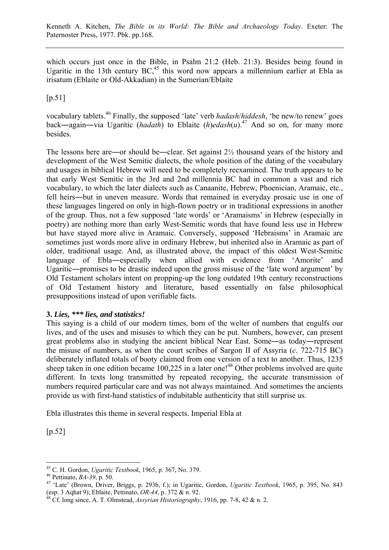which occurs just once in the Bible, in Psalm 21:2 (Heb. 21:3). Besides being found in Ugaritic in the 13th century BC,<sup>45</sup> this word now appears a millennium earlier at Ebla as irisatum (Eblaite or Old-Akkadian) in the Sumerian/Eblaite

 $[p.51]$ 

vocabulary tablets.46 Finally, the supposed 'late' verb *hadash*/*hiddesh*, 'be new/to renew' goes back—again—via Ugaritic (*hadath*) to Eblaite (*h*)*edash*(*u*).<sup>47</sup> And so on, for many more besides.

The lessons here are—or should be—clear. Set against  $2\frac{1}{2}$  thousand years of the history and development of the West Semitic dialects, the whole position of the dating of the vocabulary and usages in biblical Hebrew will need to be completely reexamined. The truth appears to be that early West Semitic in the 3rd and 2nd millennia BC had in common a vast and rich vocabulary, to which the later dialects such as Canaanite, Hebrew, Phoenician, Aramaic, etc., fell heirs―but in uneven measure. Words that remained in everyday prosaic use in one of these languages lingered on only in high-flown poetry or in traditional expressions in another of the group. Thus, not a few supposed 'late words' or 'Aramaisms' in Hebrew (especially in poetry) are nothing more than early West-Semitic words that have found less use in Hebrew but have stayed more alive in Aramaic. Conversely, supposed 'Hebraisms' in Aramaic are sometimes just words more alive in ordinary Hebrew, but inherited also in Aramaic as part of older, traditional usage. And, as illustrated above, the impact of this oldest West-Semitic language of Ebla―especially when allied with evidence from 'Amorite' and Ugaritic―promises to be drastic indeed upon the gross misuse of the 'late word argument' by Old Testament scholars intent on propping-up the long outdated 19th century reconstructions of Old Testament history and literature, based essentially on false philosophical presuppositions instead of upon verifiable facts.

#### **3.** *Lies, \*\*\* lies, and statistics!*

This saying is a child of our modern times, born of the welter of numbers that engulfs our lives, and of the uses and misuses to which they can be put. Numbers, however, can present great problems also in studying the ancient biblical Near East. Some―as today―represent the misuse of numbers, as when the court scribes of Sargon II of Assyria (*c*. 722-715 BC) deliberately inflated totals of booty claimed from one version of a text to another. Thus, 1235 sheep taken in one edition became  $100,225$  in a later one!<sup>48</sup> Other problems involved are quite different. In texts long transmitted by repeated recopying, the accurate transmission of numbers required particular care and was not always maintained. And sometimes the ancients provide us with first-hand statistics of indubitable authenticity that still surprise us.

Ebla illustrates this theme in several respects. Imperial Ebla at

[p.52]

<sup>&</sup>lt;sup>45</sup> C. H. Gordon, Ugaritic Textbook, 1965, p. 367, No. 379.

<sup>46</sup> Pettinato, *BA-39*, p. 50.<br><sup>47</sup> 'Late' (Brown, Driver, Briggs, p. 293b, f.); in Ugaritic, Gordon, *Ugaritic Textbook*, 1965, p. 395, No. 843<br>(esp. 3 Aqhat 9); Eblaite, Pettinato, *OR-44*, p. 372 & n. 92.

<sup>&</sup>lt;sup>48</sup> Cf. long since, A. T. Olmstead, *Assyrian Historiography*, 1916, pp. 7-8, 42 & n. 2.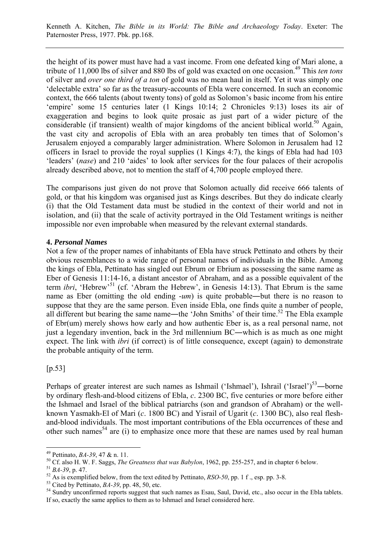the height of its power must have had a vast income. From one defeated king of Mari alone, a tribute of 11,000 lbs of silver and 880 lbs of gold was exacted on one occasion.<sup>49</sup> This *ten tons* of silver and *over one third of a ton* of gold was no mean haul in itself. Yet it was simply one 'delectable extra' so far as the treasury-accounts of Ebla were concerned. In such an economic context, the 666 talents (about twenty tons) of gold as Solomon's basic income from his entire 'empire' some 15 centuries later (1 Kings 10:14; 2 Chronicles 9:13) loses its air of exaggeration and begins to look quite prosaic as just part of a wider picture of the considerable (if transient) wealth of major kingdoms of the ancient biblical world.<sup>50</sup> Again, the vast city and acropolis of Ebla with an area probably ten times that of Solomon's Jerusalem enjoyed a comparably larger administration. Where Solomon in Jerusalem had 12 officers in Israel to provide the royal supplies (1 Kings 4:7), the kings of Ebla had had 103 'leaders' (*nase*) and 210 'aides' to look after services for the four palaces of their acropolis already described above, not to mention the staff of 4,700 people employed there.

The comparisons just given do not prove that Solomon actually did receive 666 talents of gold, or that his kingdom was organised just as Kings describes. But they do indicate clearly (i) that the Old Testament data must be studied in the context of their world and not in isolation, and (ii) that the scale of activity portrayed in the Old Testament writings is neither impossible nor even improbable when measured by the relevant external standards.

## **4.** *Personal Names*

Not a few of the proper names of inhabitants of Ebla have struck Pettinato and others by their obvious resemblances to a wide range of personal names of individuals in the Bible. Among the kings of Ebla, Pettinato has singled out Ebrum or Ebrium as possessing the same name as Eber of Genesis 11:14-16, a distant ancestor of Abraham, and as a possible equivalent of the term *ibri*, 'Hebrew'51 (cf. 'Abram the Hebrew', in Genesis 14:13). That Ebrum is the same name as Eber (omitting the old ending -*um*) is quite probable—but there is no reason to suppose that they are the same person. Even inside Ebla, one finds quite a number of people, all different but bearing the same name—the 'John Smiths' of their time.<sup>52</sup> The Ebla example of Ebr(um) merely shows how early and how authentic Eber is, as a real personal name, not just a legendary invention, back in the 3rd millennium BC―which is as much as one might expect. The link with *ibri* (if correct) is of little consequence, except (again) to demonstrate the probable antiquity of the term.

## [p.53]

Perhaps of greater interest are such names as Ishmail ('Ishmael'), Ishrail ('Israel')<sup>53</sup>—borne by ordinary flesh-and-blood citizens of Ebla, *c*. 2300 BC, five centuries or more before either the Ishmael and Israel of the biblical patriarchs (son and grandson of Abraham) or the wellknown Yasmakh-El of Mari (*c*. 1800 BC) and Yisrail of Ugarit (*c*. 1300 BC), also real fleshand-blood individuals. The most important contributions of the Ebla occurrences of these and other such names<sup>54</sup> are (i) to emphasize once more that these are names used by real human

<sup>&</sup>lt;sup>49</sup> Pettinato, *BA-39*, 47 & n. 11.

<sup>&</sup>lt;sup>50</sup> Cf. also H. W. F. Saggs, *The Greatness that was Babylon*, 1962, pp. 255-257, and in chapter 6 below.<br><sup>51</sup> *BA-39*, p. 47.<br><sup>52</sup> As is exemplified below, from the text edited by Pettinato, *RSO-50*, pp. 1 f., esp. pp. If so, exactly the same applies to them as to Ishmael and Israel considered here.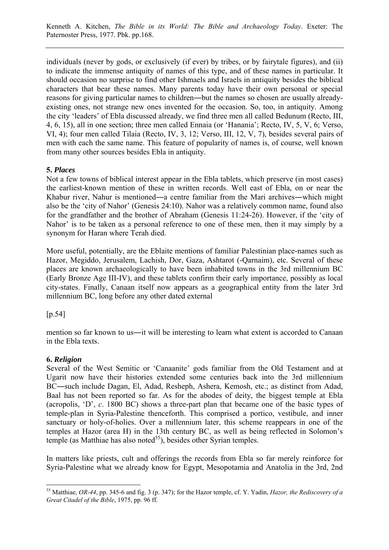individuals (never by gods, or exclusively (if ever) by tribes, or by fairytale figures), and (ii) to indicate the immense antiquity of names of this type, and of these names in particular. It should occasion no surprise to find other Ishmaels and Israels in antiquity besides the biblical characters that bear these names. Many parents today have their own personal or special reasons for giving particular names to children―but the names so chosen are usually alreadyexisting ones, not strange new ones invented for the occasion. So, too, in antiquity. Among the city 'leaders' of Ebla discussed already, we find three men all called Bedunum (Recto, III, 4, 6, 15), all in one section; three men called Ennaia (or 'Hanania'; Recto, IV, 5, V, 6; Verso, VI, 4); four men called Tilaia (Recto, IV, 3, 12; Verso, III, 12, V, 7), besides several pairs of men with each the same name. This feature of popularity of names is, of course, well known from many other sources besides Ebla in antiquity.

## **5.** *Places*

Not a few towns of biblical interest appear in the Ebla tablets, which preserve (in most cases) the earliest-known mention of these in written records. Well east of Ebla, on or near the Khabur river, Nahur is mentioned―a centre familiar from the Mari archives―which might also be the 'city of Nahor' (Genesis 24:10). Nahor was a relatively common name, found also for the grandfather and the brother of Abraham (Genesis 11:24-26). However, if the 'city of Nahor' is to be taken as a personal reference to one of these men, then it may simply by a synonym for Haran where Terah died.

More useful, potentially, are the Eblaite mentions of familiar Palestinian place-names such as Hazor, Megiddo, Jerusalem, Lachish, Dor, Gaza, Ashtarot (-Qarnaim), etc. Several of these places are known archaeologically to have been inhabited towns in the 3rd millennium BC (Early Bronze Age III-IV), and these tablets confirm their early importance, possibly as local city-states. Finally, Canaan itself now appears as a geographical entity from the later 3rd millennium BC, long before any other dated external

## [p.54]

mention so far known to us―it will be interesting to learn what extent is accorded to Canaan in the Ebla texts.

## **6.** *Religion*

Several of the West Semitic or 'Canaanite' gods familiar from the Old Testament and at Ugarit now have their histories extended some centuries back into the 3rd millennium BC―such include Dagan, El, Adad, Resheph, Ashera, Kemosh, etc.; as distinct from Adad, Baal has not been reported so far. As for the abodes of deity, the biggest temple at Ebla (acropolis, 'D', *c*. 1800 BC) shows a three-part plan that became one of the basic types of temple-plan in Syria-Palestine thenceforth. This comprised a portico, vestibule, and inner sanctuary or holy-of-holies. Over a millennium later, this scheme reappears in one of the temples at Hazor (area H) in the 13th century BC, as well as being reflected in Solomon's temple (as Matthiae has also noted $^{55}$ ), besides other Syrian temples.

In matters like priests, cult and offerings the records from Ebla so far merely reinforce for Syria-Palestine what we already know for Egypt, Mesopotamia and Anatolia in the 3rd, 2nd

 $\overline{a}$ 55 Matthiae, *OR-44*, pp. 345-6 and fig. 3 (p. 347); for the Hazor temple, cf. Y. Yadin, *Hazor, the Rediscovery of a Great Citadel of the Bible*, 1975, pp. 96 ff.